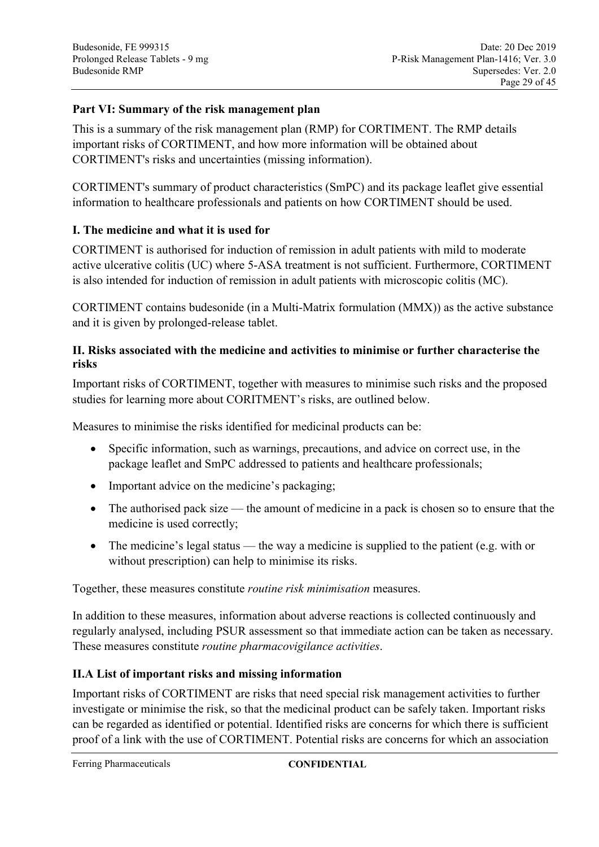# **Part VI: Summary of the risk management plan**

This is a summary of the risk management plan (RMP) for CORTIMENT. The RMP details important risks of CORTIMENT, and how more information will be obtained about CORTIMENT's risks and uncertainties (missing information).

CORTIMENT's summary of product characteristics (SmPC) and its package leaflet give essential information to healthcare professionals and patients on how CORTIMENT should be used.

## **I. The medicine and what it is used for**

CORTIMENT is authorised for induction of remission in adult patients with mild to moderate active ulcerative colitis (UC) where 5-ASA treatment is not sufficient. Furthermore, CORTIMENT is also intended for induction of remission in adult patients with microscopic colitis (MC).

CORTIMENT contains budesonide (in a Multi-Matrix formulation (MMX)) as the active substance and it is given by prolonged-release tablet.

#### **II. Risks associated with the medicine and activities to minimise or further characterise the risks**

Important risks of CORTIMENT, together with measures to minimise such risks and the proposed studies for learning more about CORITMENT's risks, are outlined below.

Measures to minimise the risks identified for medicinal products can be:

- Specific information, such as warnings, precautions, and advice on correct use, in the package leaflet and SmPC addressed to patients and healthcare professionals;
- Important advice on the medicine's packaging;
- The authorised pack size the amount of medicine in a pack is chosen so to ensure that the medicine is used correctly;
- The medicine's legal status the way a medicine is supplied to the patient (e.g. with or without prescription) can help to minimise its risks.

Together, these measures constitute *routine risk minimisation* measures.

In addition to these measures, information about adverse reactions is collected continuously and regularly analysed, including PSUR assessment so that immediate action can be taken as necessary. These measures constitute *routine pharmacovigilance activities*.

#### **II.A List of important risks and missing information**

Important risks of CORTIMENT are risks that need special risk management activities to further investigate or minimise the risk, so that the medicinal product can be safely taken. Important risks can be regarded as identified or potential. Identified risks are concerns for which there is sufficient proof of a link with the use of CORTIMENT. Potential risks are concerns for which an association